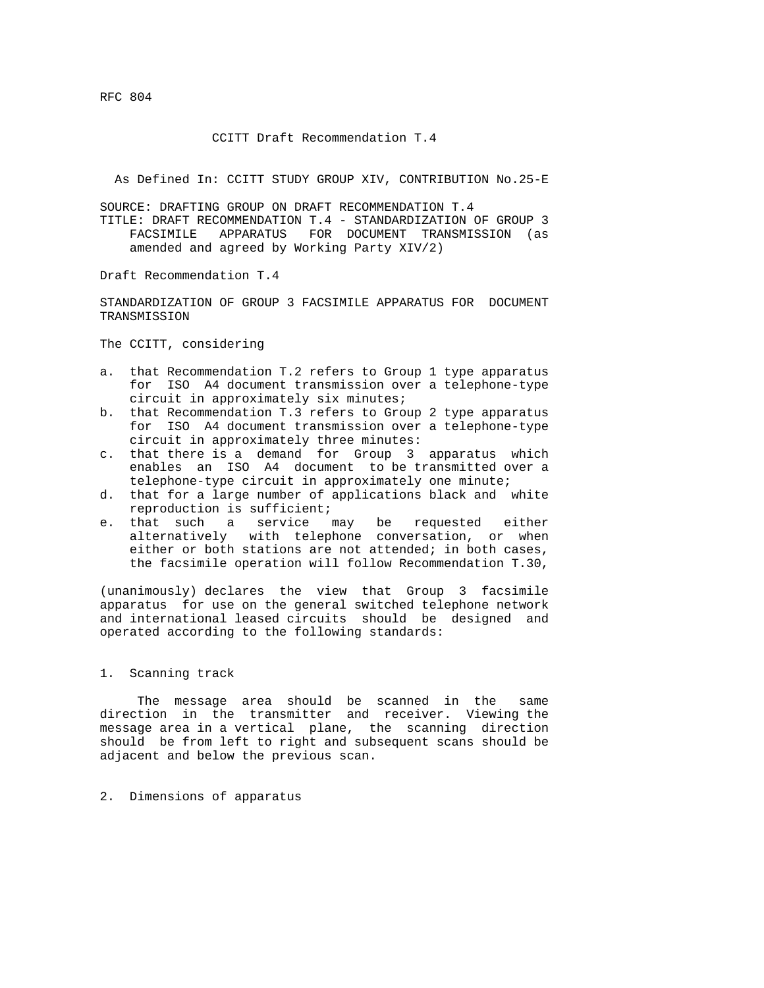RFC 804

## CCITT Draft Recommendation T.4

As Defined In: CCITT STUDY GROUP XIV, CONTRIBUTION No.25-E

SOURCE: DRAFTING GROUP ON DRAFT RECOMMENDATION T.4 TITLE: DRAFT RECOMMENDATION T.4 - STANDARDIZATION OF GROUP 3 FACSIMILE APPARATUS FOR DOCUMENT TRANSMISSION (as amended and agreed by Working Party XIV/2)

Draft Recommendation T.4

STANDARDIZATION OF GROUP 3 FACSIMILE APPARATUS FOR DOCUMENT TRANSMISSION

The CCITT, considering

- a. that Recommendation T.2 refers to Group 1 type apparatus for ISO A4 document transmission over a telephone-type circuit in approximately six minutes;
- b. that Recommendation T.3 refers to Group 2 type apparatus for ISO A4 document transmission over a telephone-type circuit in approximately three minutes:
- c. that there is a demand for Group 3 apparatus which enables an ISO A4 document to be transmitted over a telephone-type circuit in approximately one minute;
- d. that for a large number of applications black and white reproduction is sufficient;
- e. that such a service may be requested either alternatively with telephone conversation, or when either or both stations are not attended; in both cases, the facsimile operation will follow Recommendation T.30,

(unanimously) declares the view that Group 3 facsimile apparatus for use on the general switched telephone network and international leased circuits should be designed and operated according to the following standards:

#### 1. Scanning track

 The message area should be scanned in the same direction in the transmitter and receiver. Viewing the message area in a vertical plane, the scanning direction should be from left to right and subsequent scans should be adjacent and below the previous scan.

# 2. Dimensions of apparatus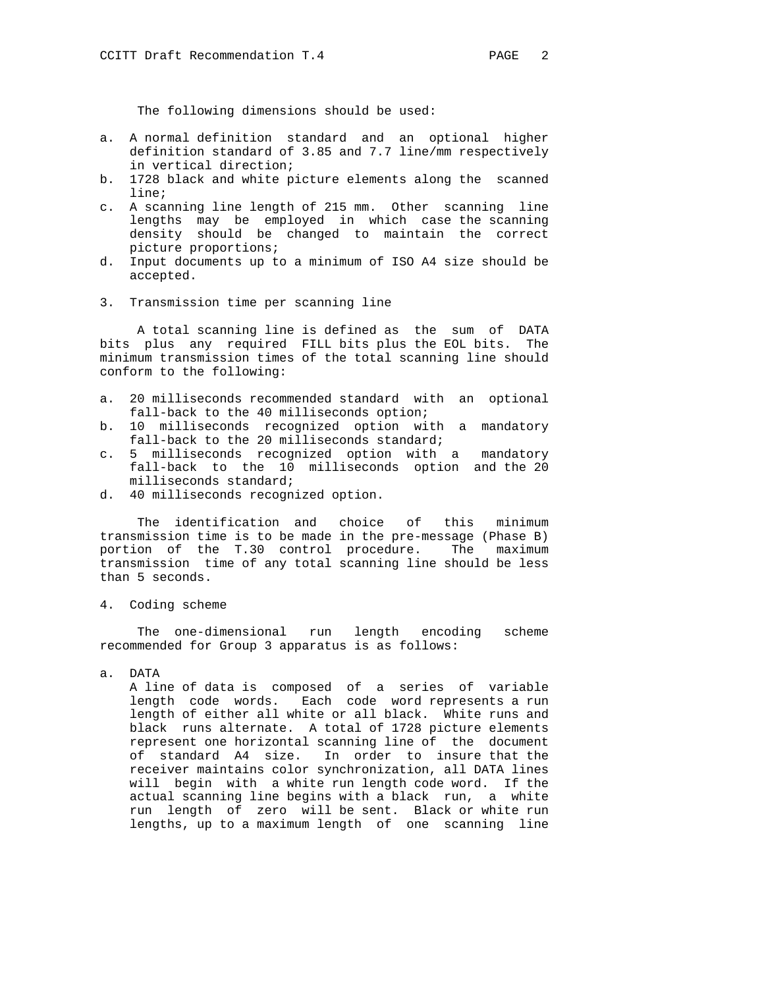The following dimensions should be used:

- a. A normal definition standard and an optional higher definition standard of 3.85 and 7.7 line/mm respectively in vertical direction;
- b. 1728 black and white picture elements along the scanned line;
- c. A scanning line length of 215 mm. Other scanning line lengths may be employed in which case the scanning density should be changed to maintain the correct picture proportions;
- d. Input documents up to a minimum of ISO A4 size should be accepted.
- 3. Transmission time per scanning line

 A total scanning line is defined as the sum of DATA bits plus any required FILL bits plus the EOL bits. The minimum transmission times of the total scanning line should conform to the following:

- a. 20 milliseconds recommended standard with an optional fall-back to the 40 milliseconds option;
- b. 10 milliseconds recognized option with a mandatory fall-back to the 20 milliseconds standard;
- c. 5 milliseconds recognized option with a mandatory fall-back to the 10 milliseconds option and the 20 milliseconds standard;
- d. 40 milliseconds recognized option.

 The identification and choice of this minimum transmission time is to be made in the pre-message (Phase B) portion of the T.30 control procedure. The maximum transmission time of any total scanning line should be less than 5 seconds.

4. Coding scheme

 The one-dimensional run length encoding scheme recommended for Group 3 apparatus is as follows:

a. DATA

 A line of data is composed of a series of variable length code words. Each code word represents a run length of either all white or all black. White runs and black runs alternate. A total of 1728 picture elements represent one horizontal scanning line of the document of standard A4 size. In order to insure that the receiver maintains color synchronization, all DATA lines will begin with a white run length code word. If the actual scanning line begins with a black run, a white run length of zero will be sent. Black or white run lengths, up to a maximum length of one scanning line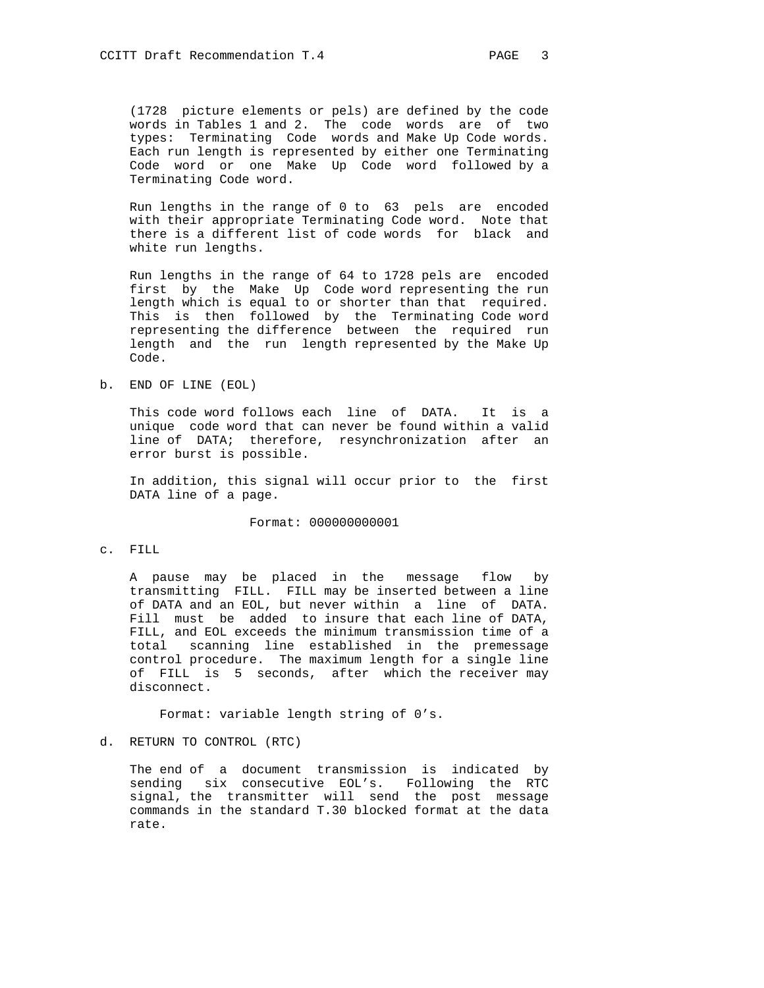(1728 picture elements or pels) are defined by the code words in Tables 1 and 2. The code words are of two types: Terminating Code words and Make Up Code words. Each run length is represented by either one Terminating Code word or one Make Up Code word followed by a Terminating Code word.

 Run lengths in the range of 0 to 63 pels are encoded with their appropriate Terminating Code word. Note that there is a different list of code words for black and white run lengths.

 Run lengths in the range of 64 to 1728 pels are encoded first by the Make Up Code word representing the run length which is equal to or shorter than that required. This is then followed by the Terminating Code word representing the difference between the required run length and the run length represented by the Make Up Code.

b. END OF LINE (EOL)

 This code word follows each line of DATA. It is a unique code word that can never be found within a valid line of DATA; therefore, resynchronization after an error burst is possible.

 In addition, this signal will occur prior to the first DATA line of a page.

Format: 000000000001

c. FILL

 A pause may be placed in the message flow by transmitting FILL. FILL may be inserted between a line of DATA and an EOL, but never within a line of DATA. Fill must be added to insure that each line of DATA, FILL, and EOL exceeds the minimum transmission time of a total scanning line established in the premessage control procedure. The maximum length for a single line of FILL is 5 seconds, after which the receiver may disconnect.

Format: variable length string of 0's.

d. RETURN TO CONTROL (RTC)

 The end of a document transmission is indicated by sending six consecutive EOL's. Following the RTC signal, the transmitter will send the post message commands in the standard T.30 blocked format at the data rate.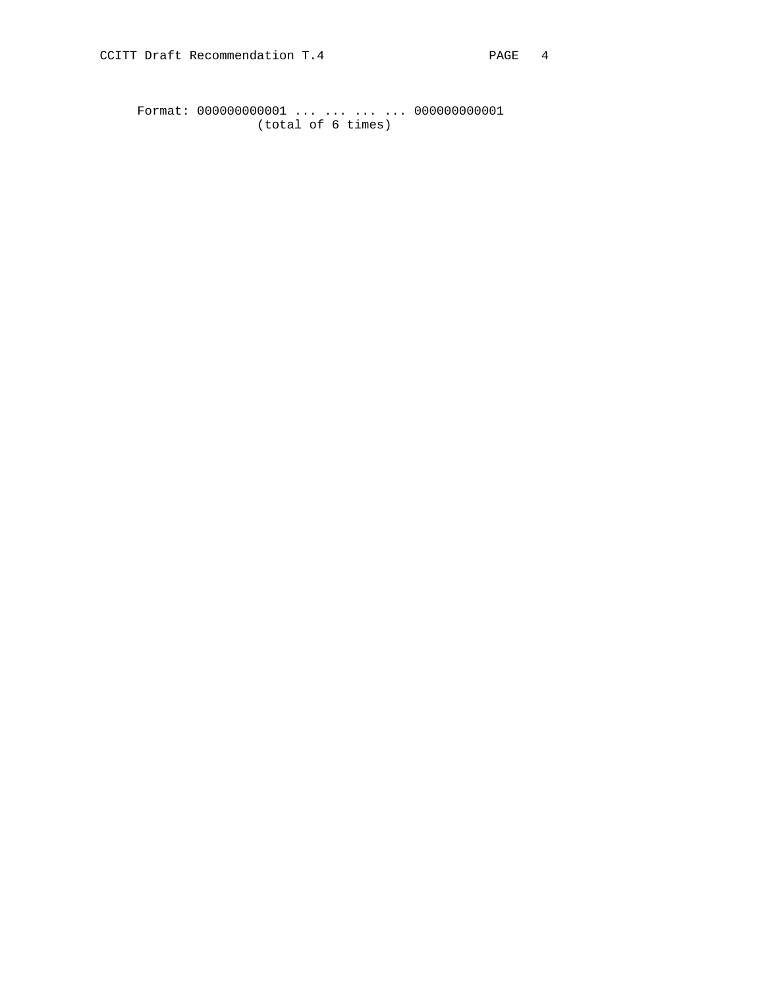Format: 000000000001 ... ... ... ... 000000000001 (total of 6 times)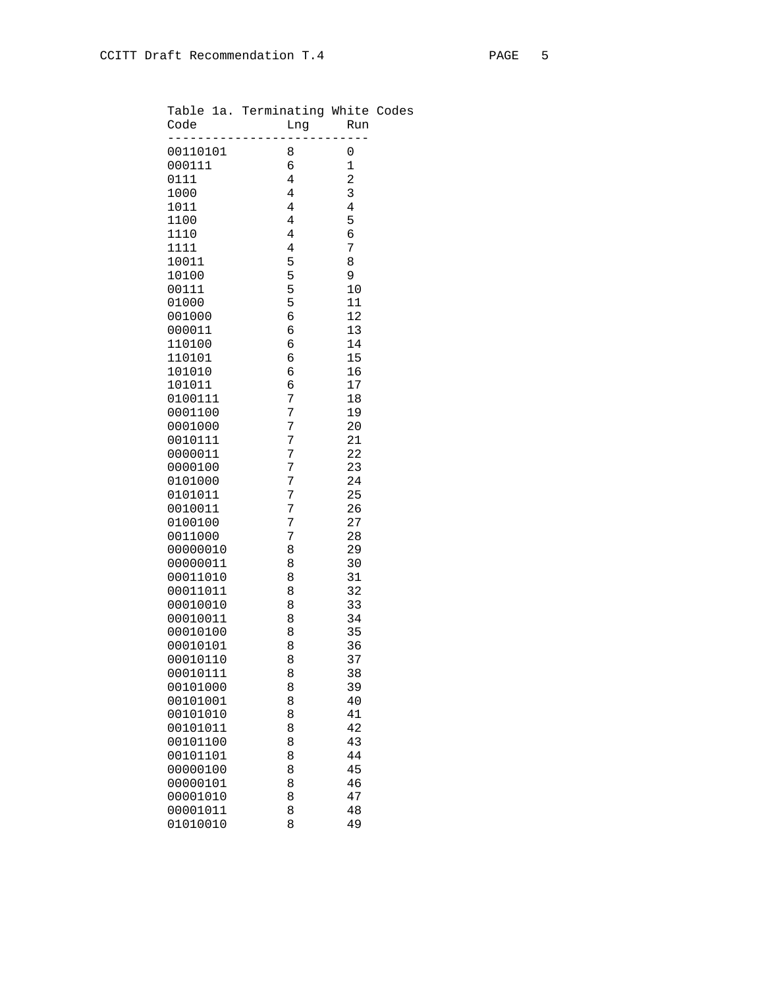| Code                 | Table 1a. Terminating White Codes<br>Lng | Run              |  |
|----------------------|------------------------------------------|------------------|--|
| ________________     |                                          | .                |  |
| 00110101             | 8                                        | 0                |  |
| 000111               | 6                                        | $\mathbf 1$      |  |
| 0111                 | $\overline{4}$                           | $\overline{a}$   |  |
| 1000<br>1011         | $\overline{4}$<br>$\overline{4}$         | $\mathsf 3$<br>4 |  |
| 1100                 | $\overline{4}$                           | 5                |  |
| 1110                 | 4                                        | 6                |  |
| 1111                 | $\overline{4}$                           | 7                |  |
| 10011                | 5                                        | 8                |  |
| 10100                | 5                                        | 9                |  |
| 00111                | 5                                        | 10               |  |
| 01000                | 5                                        | 11               |  |
| 001000               | 6                                        | 12               |  |
| 000011<br>110100     | 6<br>6                                   | 13<br>14         |  |
| 110101               | 6                                        | 15               |  |
| 101010               | 6                                        | 16               |  |
| 101011               | 6                                        | 17               |  |
| 0100111              | 7                                        | 18               |  |
| 0001100              | 7                                        | 19               |  |
| 0001000              | 7                                        | 20               |  |
| 0010111              | 7                                        | 21               |  |
| 0000011<br>0000100   | 7<br>7                                   | 22<br>23         |  |
| 0101000              | 7                                        | 24               |  |
| 0101011              | 7                                        | 25               |  |
| 0010011              | 7                                        | 26               |  |
| 0100100              | 7                                        | 27               |  |
| 0011000              | 7                                        | 28               |  |
| 00000010             | 8                                        | 29               |  |
| 00000011             | 8                                        | 30               |  |
| 00011010             | 8                                        | 31               |  |
| 00011011<br>00010010 | 8<br>8                                   | 32<br>33         |  |
| 00010011             | 8                                        | 34               |  |
| 00010100             | 8                                        | 35               |  |
| 00010101             | 8                                        | 36               |  |
| 00010110             | 8                                        | 37               |  |
| 00010111             | 8                                        | 38               |  |
| 00101000             | 8                                        | 39               |  |
| 00101001             | 8                                        | 40               |  |
| 00101010             | 8                                        | 41               |  |
| 00101011             | 8                                        | 42<br>43         |  |
| 00101100<br>00101101 | 8<br>8                                   | 44               |  |
| 00000100             | 8                                        | 45               |  |
| 00000101             | 8                                        | 46               |  |
| 00001010             | 8                                        | 47               |  |
| 00001011             | 8                                        | 48               |  |
|                      |                                          |                  |  |

01010010 8 49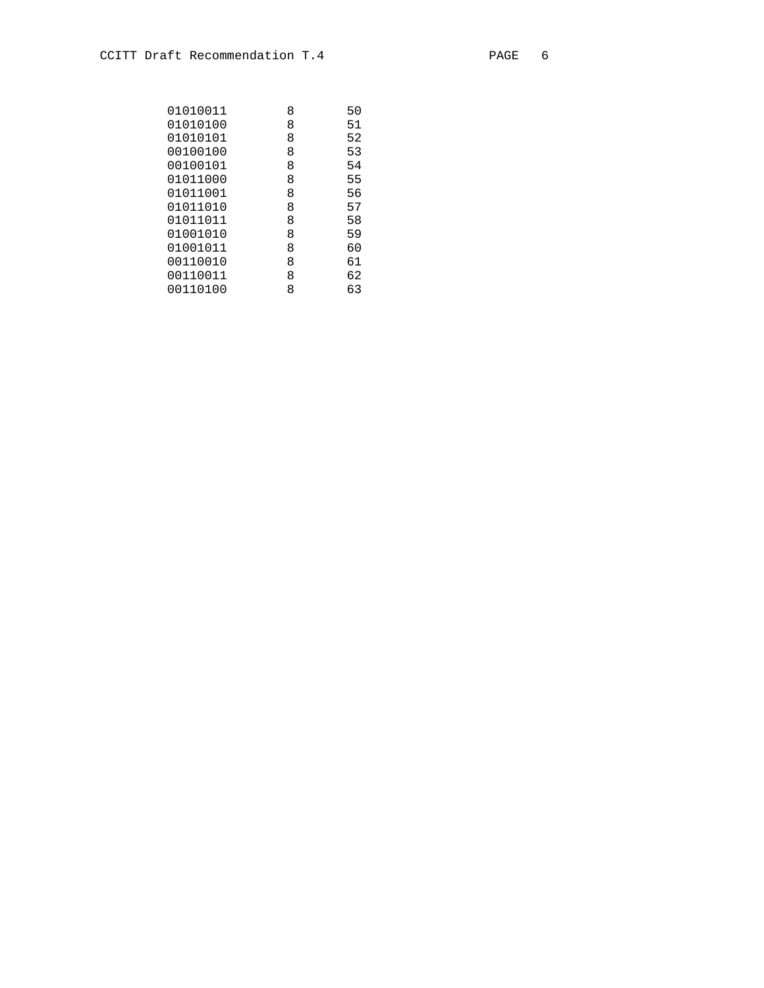| 01010011 | 8 | 50 |
|----------|---|----|
| 01010100 | 8 | 51 |
| 01010101 | 8 | 52 |
| 00100100 | 8 | 53 |
| 00100101 | 8 | 54 |
| 01011000 | 8 | 55 |
| 01011001 | 8 | 56 |
| 01011010 | 8 | 57 |
| 01011011 | 8 | 58 |
| 01001010 | 8 | 59 |
| 01001011 | 8 | 60 |
| 00110010 | 8 | 61 |
| 00110011 | 8 | 62 |
| 00110100 | 8 | 63 |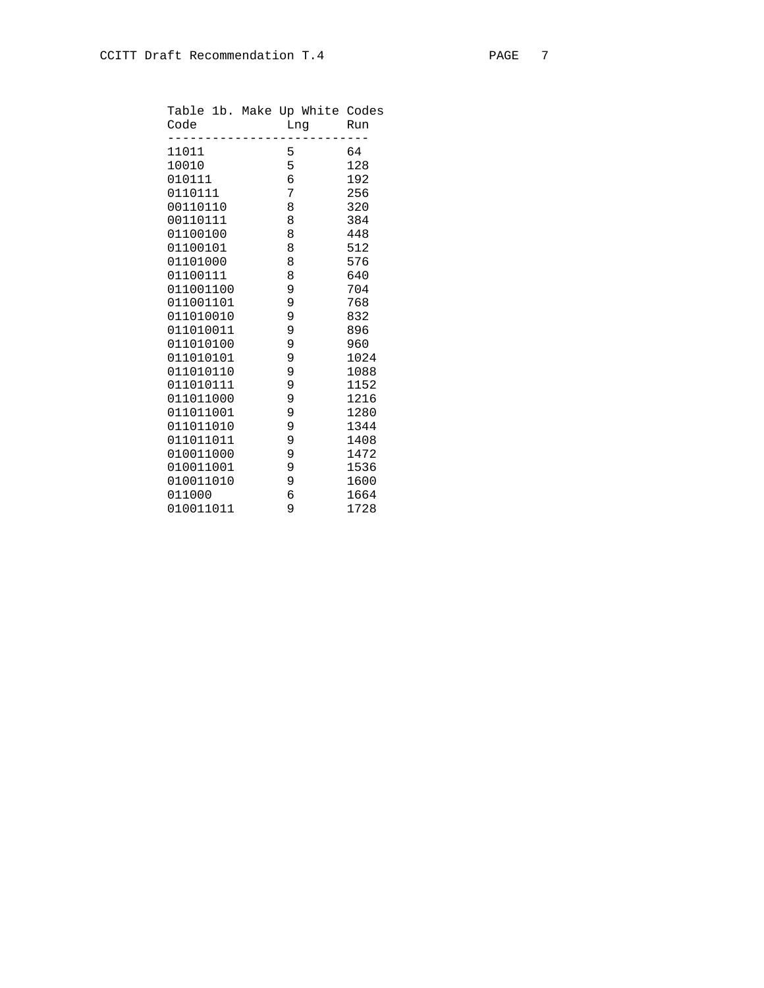| Code      | Table 1b. Make Up White Codes<br>Lng | Run  |
|-----------|--------------------------------------|------|
| 11011     | 5                                    | 64   |
| 10010     | 5                                    | 128  |
| 010111    | $\epsilon$                           | 192  |
| 0110111   | $\overline{7}$                       | 256  |
| 00110110  | 8                                    | 320  |
| 00110111  | 8                                    | 384  |
| 01100100  | 8                                    | 448  |
| 01100101  | 8                                    | 512  |
| 01101000  | 8                                    | 576  |
| 01100111  | 8                                    | 640  |
| 011001100 | $\overline{9}$                       | 704  |
| 011001101 | $\overline{9}$                       | 768  |
| 011010010 | 9                                    | 832  |
| 011010011 | 9                                    | 896  |
| 011010100 | $\overline{9}$                       | 960  |
| 011010101 | 9                                    | 1024 |
| 011010110 | 9                                    | 1088 |
| 011010111 | 9                                    | 1152 |
| 011011000 | 9                                    | 1216 |
| 011011001 | 9                                    | 1280 |
| 011011010 | 9                                    | 1344 |
| 011011011 | 9                                    | 1408 |
| 010011000 | 9                                    | 1472 |
| 010011001 | 9                                    | 1536 |
| 010011010 | 9                                    | 1600 |
| 011000    | б                                    | 1664 |
| 010011011 | 9                                    | 1728 |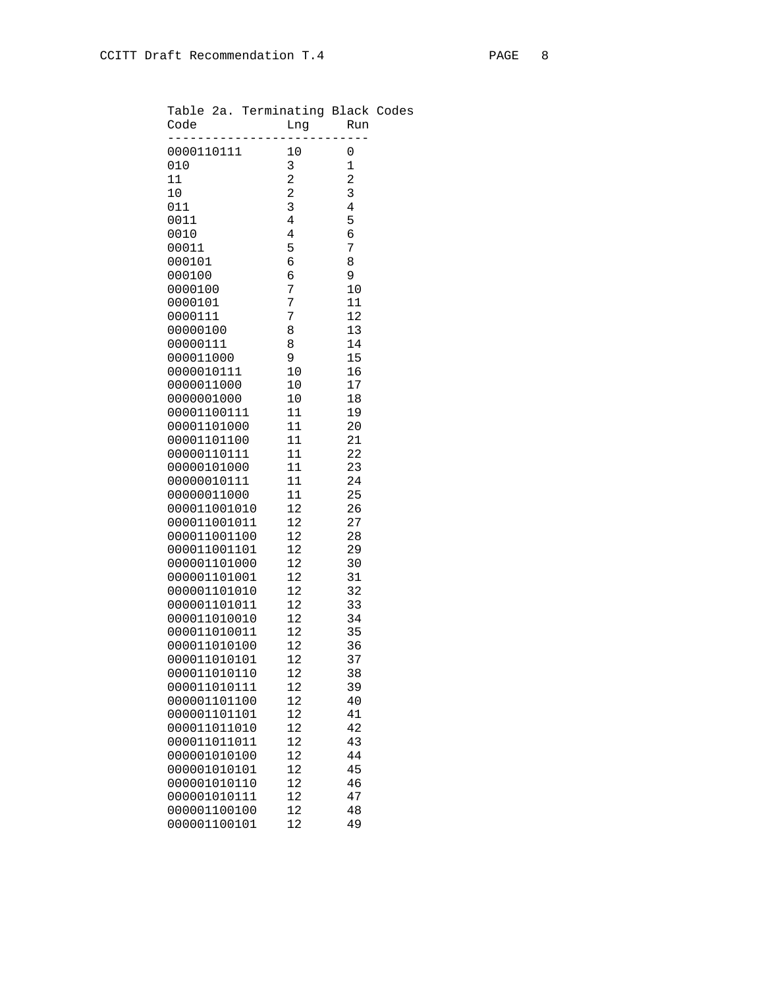| Table 2a. Terminating Black Codes<br>Code | Lng             | Run            |  |
|-------------------------------------------|-----------------|----------------|--|
| -------------------<br>0000110111         | $10$            | _________<br>0 |  |
| 010                                       | 3               | $\mathbf 1$    |  |
| 11                                        | $\overline{a}$  | $\overline{a}$ |  |
| 10                                        | $\overline{c}$  | 3              |  |
| 011                                       | 3               | 4              |  |
| 0011                                      | $\overline{4}$  | 5              |  |
| 0010                                      | 4               | 6              |  |
| 00011                                     | 5               | 7              |  |
| 000101                                    | 6               | 8              |  |
| 000100<br>0000100                         | 6<br>7          | 9<br>10        |  |
| 0000101                                   | 7               | 11             |  |
| 0000111                                   | 7               | 12             |  |
| 00000100                                  | 8               | 13             |  |
| 00000111                                  | 8               | 14             |  |
| 000011000                                 | 9               | 15             |  |
| 0000010111                                | 10 <sub>1</sub> | 16             |  |
| 0000011000                                | 10 <sub>1</sub> | 17             |  |
| 0000001000                                | 10              | 18             |  |
| 00001100111                               | 11              | 19             |  |
| 00001101000                               | 11              | 20             |  |
| 00001101100                               | 11              | 21             |  |
| 00000110111                               | 11              | 22             |  |
| 00000101000 11                            |                 | 23             |  |
| 00000010111                               | 11              | 24             |  |
| 00000011000                               | 11              | 25             |  |
| 000011001010                              | 12              | 26             |  |
| 000011001011<br>000011001100              | 12<br>12        | 27<br>28       |  |
| 000011001101                              | 12 <sub>2</sub> | 29             |  |
| 000001101000                              | 12              | 30             |  |
| 000001101001                              | 12 <sup>7</sup> | 31             |  |
| 000001101010                              | 12              | 32             |  |
| 000001101011                              | 12 <sup>°</sup> | 33             |  |
| 000011010010                              | 12 <sup>°</sup> | 34             |  |
| 000011010011 12                           |                 | 35             |  |
| 000011010100                              | 12              | 36             |  |
| 000011010101                              | 12              | 37             |  |
| 000011010110                              | 12              | 38             |  |
| 000011010111                              | 12              | 39             |  |
| 000001101100                              | 12              | 40             |  |
| 000001101101                              | 12              | 41             |  |
| 000011011010                              | 12              | 42             |  |
| 000011011011                              | 12              | 43             |  |
| 000001010100                              | 12              | 44             |  |
| 000001010101<br>000001010110              | 12<br>12        | 45<br>46       |  |
| 000001010111                              | 12              | 47             |  |
| 000001100100                              | 12              | 48             |  |
| 000001100101                              | 12              | 49             |  |
|                                           |                 |                |  |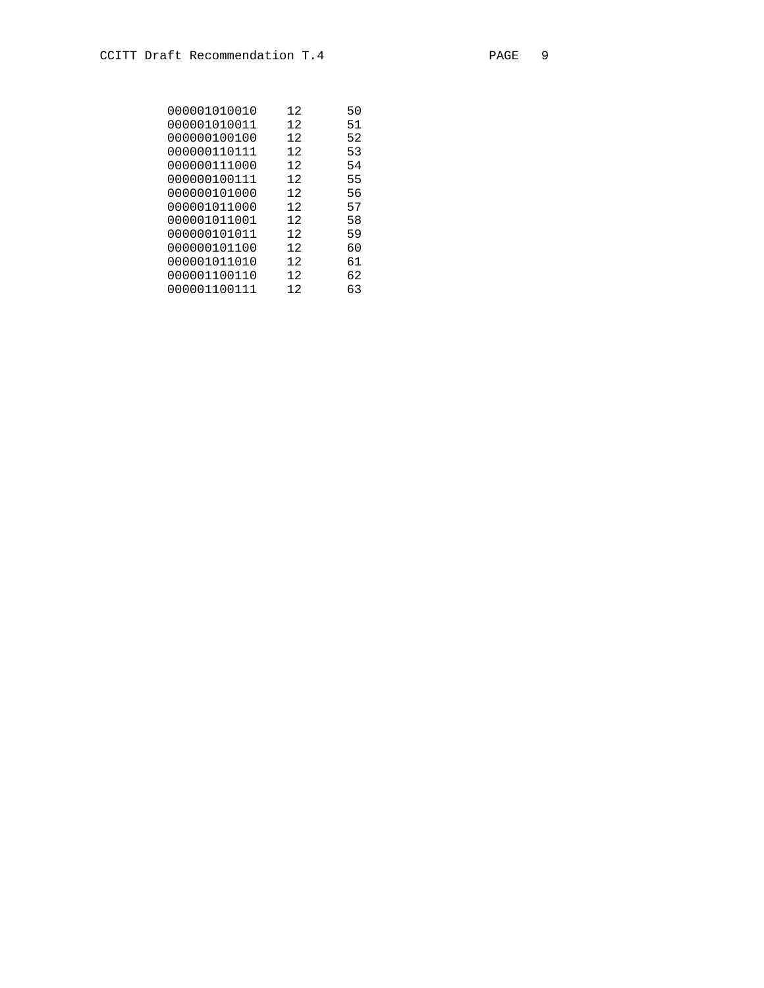| 000001010010 | 12 | 50 |
|--------------|----|----|
| 000001010011 | 12 | 51 |
| 000000100100 | 12 | 52 |
| 000000110111 | 12 | 53 |
| 000000111000 | 12 | 54 |
| 000000100111 | 12 | 55 |
| 000000101000 | 12 | 56 |
| 000001011000 | 12 | 57 |
| 000001011001 | 12 | 58 |
| 000000101011 | 12 | 59 |
| 000000101100 | 12 | 60 |
| 000001011010 | 12 | 61 |
| 000001100110 | 12 | 62 |
| 000001100111 | 12 | 63 |
|              |    |    |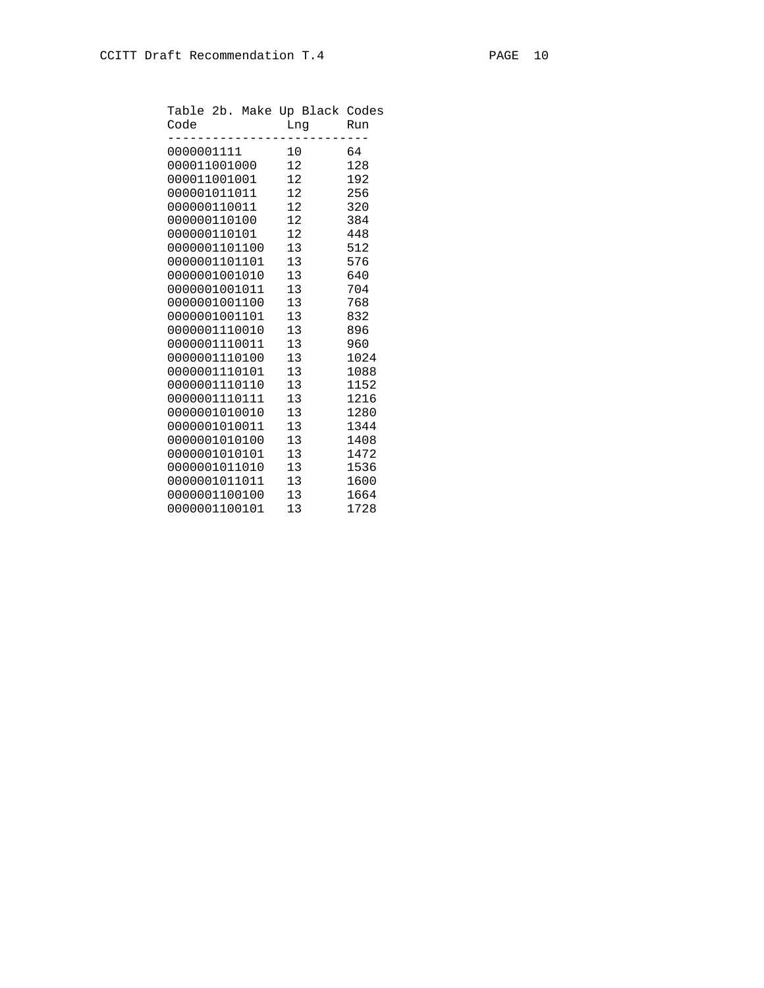| Code             |  |    | Table 2b. Make Up Black Codes<br>Lng Run |      |  |
|------------------|--|----|------------------------------------------|------|--|
| 0000001111       |  | 10 |                                          | 64   |  |
| 000011001000 12  |  |    |                                          | 128  |  |
| 000011001001 12  |  |    |                                          | 192  |  |
| 000001011011 12  |  |    |                                          | 256  |  |
| 000000110011 12  |  |    |                                          | 320  |  |
| 000000110100 12  |  |    |                                          | 384  |  |
| 000000110101 12  |  |    |                                          | 448  |  |
| 0000001101100 13 |  |    |                                          | 512  |  |
| 0000001101101 13 |  |    |                                          | 576  |  |
| 0000001001010 13 |  |    |                                          | 640  |  |
| 0000001001011 13 |  |    |                                          | 704  |  |
| 0000001001100 13 |  |    |                                          | 768  |  |
| 0000001001101 13 |  |    |                                          | 832  |  |
| 0000001110010 13 |  |    |                                          | 896  |  |
| 0000001110011 13 |  |    |                                          | 960  |  |
| 0000001110100 13 |  |    |                                          | 1024 |  |
| 0000001110101 13 |  |    |                                          | 1088 |  |
| 0000001110110 13 |  |    |                                          | 1152 |  |
| 0000001110111 13 |  |    |                                          | 1216 |  |
| 0000001010010 13 |  |    |                                          | 1280 |  |
| 0000001010011 13 |  |    |                                          | 1344 |  |
| 0000001010100 13 |  |    |                                          | 1408 |  |
| 0000001010101 13 |  |    |                                          | 1472 |  |
| 0000001011010 13 |  |    |                                          | 1536 |  |
| 0000001011011 13 |  |    |                                          | 1600 |  |
| 0000001100100 13 |  |    |                                          | 1664 |  |
| 0000001100101 13 |  |    |                                          | 1728 |  |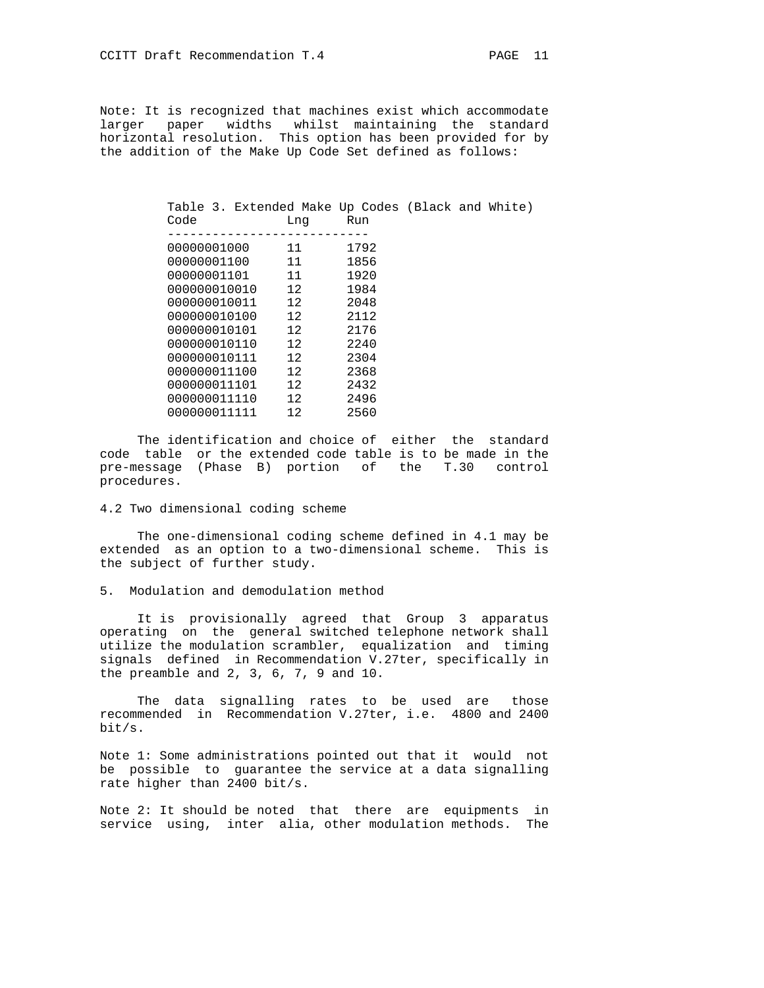Note: It is recognized that machines exist which accommodate larger paper widths whilst maintaining the standard horizontal resolution. This option has been provided for by the addition of the Make Up Code Set defined as follows:

| Table 3. Extended Make Up Codes (Black and White) |                 |      |  |  |
|---------------------------------------------------|-----------------|------|--|--|
| Code                                              | Lnq             | Run  |  |  |
|                                                   |                 |      |  |  |
| 00000001000                                       | 11              | 1792 |  |  |
| 00000001100                                       | 11              | 1856 |  |  |
| 00000001101                                       | 11              | 1920 |  |  |
| 000000010010                                      | 12              | 1984 |  |  |
| 000000010011                                      | 12 <sup>7</sup> | 2048 |  |  |
| 000000010100                                      | 12              | 2112 |  |  |
| 000000010101                                      | 12              | 2176 |  |  |
| 000000010110                                      | 12              | 2240 |  |  |
| 000000010111                                      | 12 <sup>7</sup> | 2304 |  |  |
| 000000011100                                      | 12 <sup>°</sup> | 2368 |  |  |
| 000000011101                                      | 12              | 2432 |  |  |
| 000000011110                                      | 12              | 2496 |  |  |
| 000000011111                                      | 12              | 2560 |  |  |

 The identification and choice of either the standard code table or the extended code table is to be made in the pre-message (Phase B) portion of the T.30 control procedures.

## 4.2 Two dimensional coding scheme

 The one-dimensional coding scheme defined in 4.1 may be extended as an option to a two-dimensional scheme. This is the subject of further study.

### 5. Modulation and demodulation method

 It is provisionally agreed that Group 3 apparatus operating on the general switched telephone network shall utilize the modulation scrambler, equalization and timing signals defined in Recommendation V.27ter, specifically in the preamble and 2, 3, 6, 7, 9 and 10.

 The data signalling rates to be used are those recommended in Recommendation V.27ter, i.e. 4800 and 2400 bit/s.

Note 1: Some administrations pointed out that it would not be possible to guarantee the service at a data signalling rate higher than 2400 bit/s.

Note 2: It should be noted that there are equipments in service using, inter alia, other modulation methods. The